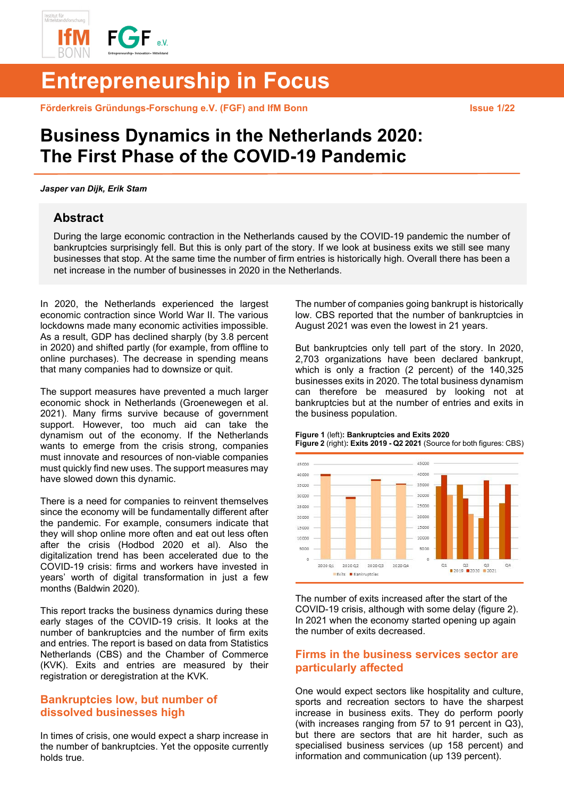

# **Entrepreneurship in Focus**

**Förderkreis Gründungs-Forschung e.V. (FGF) and IfM Bonn Issue 1/22** 

# **Business Dynamics in the Netherlands 2020: The First Phase of the COVID-19 Pandemic**

#### *Jasper van Dijk, Erik Stam*

### **Abstract**

During the large economic contraction in the Netherlands caused by the COVID-19 pandemic the number of bankruptcies surprisingly fell. But this is only part of the story. If we look at business exits we still see many businesses that stop. At the same time the number of firm entries is historically high. Overall there has been a net increase in the number of businesses in 2020 in the Netherlands.

In 2020, the Netherlands experienced the largest economic contraction since World War II. The various lockdowns made many economic activities impossible. As a result, GDP has declined sharply (by 3.8 percent in 2020) and shifted partly (for example, from offline to online purchases). The decrease in spending means that many companies had to downsize or quit.

The support measures have prevented a much larger economic shock in Netherlands (Groenewegen et al. 2021). Many firms survive because of government support. However, too much aid can take the dynamism out of the economy. If the Netherlands wants to emerge from the crisis strong, companies must innovate and resources of non-viable companies must quickly find new uses. The support measures may have slowed down this dynamic.

There is a need for companies to reinvent themselves since the economy will be fundamentally different after the pandemic. For example, consumers indicate that they will shop online more often and eat out less often after the crisis (Hodbod 2020 et al). Also the digitalization trend has been accelerated due to the COVID-19 crisis: firms and workers have invested in years' worth of digital transformation in just a few months (Baldwin 2020).

This report tracks the business dynamics during these early stages of the COVID-19 crisis. It looks at the number of bankruptcies and the number of firm exits and entries. The report is based on data from Statistics Netherlands (CBS) and the Chamber of Commerce (KVK). Exits and entries are measured by their registration or deregistration at the KVK.

### **Bankruptcies low, but number of dissolved businesses high**

In times of crisis, one would expect a sharp increase in the number of bankruptcies. Yet the opposite currently holds true.

The number of companies going bankrupt is historically low. CBS reported that the number of bankruptcies in August 2021 was even the lowest in 21 years.

But bankruptcies only tell part of the story. In 2020, 2,703 organizations have been declared bankrupt, which is only a fraction (2 percent) of the 140,325 businesses exits in 2020. The total business dynamism can therefore be measured by looking not at bankruptcies but at the number of entries and exits in the business population.

**Figure 1** (left)**: Bankruptcies and Exits 2020 Figure 2** (right)**: Exits 2019 - Q2 2021** (Source for both figures: CBS)



The number of exits increased after the start of the COVID-19 crisis, although with some delay (figure 2). In 2021 when the economy started opening up again the number of exits decreased.

# **Firms in the business services sector are particularly affected**

One would expect sectors like hospitality and culture, sports and recreation sectors to have the sharpest increase in business exits. They do perform poorly (with increases ranging from 57 to 91 percent in Q3), but there are sectors that are hit harder, such as specialised business services (up 158 percent) and information and communication (up 139 percent).